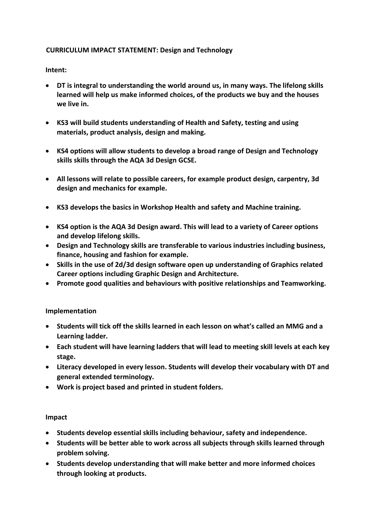## **CURRICULUM IMPACT STATEMENT: Design and Technology**

## **Intent:**

- **DT is integral to understanding the world around us, in many ways. The lifelong skills learned will help us make informed choices, of the products we buy and the houses we live in.**
- **KS3 will build students understanding of Health and Safety, testing and using materials, product analysis, design and making.**
- **KS4 options will allow students to develop a broad range of Design and Technology skills skills through the AQA 3d Design GCSE.**
- **All lessons will relate to possible careers, for example product design, carpentry, 3d design and mechanics for example.**
- **KS3 develops the basics in Workshop Health and safety and Machine training.**
- **KS4 option is the AQA 3d Design award. This will lead to a variety of Career options and develop lifelong skills.**
- **Design and Technology skills are transferable to various industries including business, finance, housing and fashion for example.**
- **Skills in the use of 2d/3d design software open up understanding of Graphics related Career options including Graphic Design and Architecture.**
- **Promote good qualities and behaviours with positive relationships and Teamworking.**

## **Implementation**

- **Students will tick off the skills learned in each lesson on what's called an MMG and a Learning ladder.**
- **Each student will have learning ladders that will lead to meeting skill levels at each key stage.**
- **Literacy developed in every lesson. Students will develop their vocabulary with DT and general extended terminology.**
- **Work is project based and printed in student folders.**

## **Impact**

- **Students develop essential skills including behaviour, safety and independence.**
- **Students will be better able to work across all subjects through skills learned through problem solving.**
- **Students develop understanding that will make better and more informed choices through looking at products.**